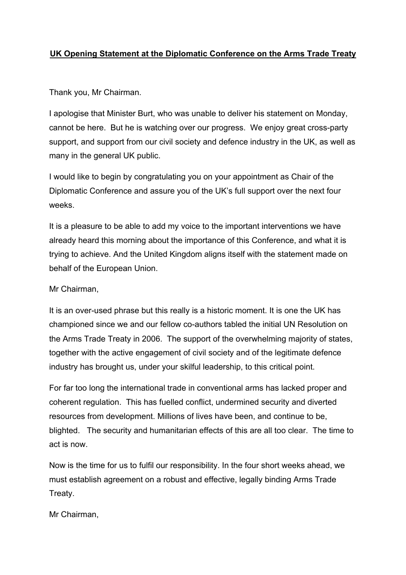## **UK Opening Statement at the Diplomatic Conference on the Arms Trade Treaty**

Thank you, Mr Chairman.

I apologise that Minister Burt, who was unable to deliver his statement on Monday, cannot be here. But he is watching over our progress. We enjoy great cross-party support, and support from our civil society and defence industry in the UK, as well as many in the general UK public.

I would like to begin by congratulating you on your appointment as Chair of the Diplomatic Conference and assure you of the UK's full support over the next four weeks.

It is a pleasure to be able to add my voice to the important interventions we have already heard this morning about the importance of this Conference, and what it is trying to achieve. And the United Kingdom aligns itself with the statement made on behalf of the European Union.

Mr Chairman,

It is an over-used phrase but this really is a historic moment. It is one the UK has championed since we and our fellow co-authors tabled the initial UN Resolution on the Arms Trade Treaty in 2006. The support of the overwhelming majority of states, together with the active engagement of civil society and of the legitimate defence industry has brought us, under your skilful leadership, to this critical point.

For far too long the international trade in conventional arms has lacked proper and coherent regulation. This has fuelled conflict, undermined security and diverted resources from development. Millions of lives have been, and continue to be, blighted. The security and humanitarian effects of this are all too clear. The time to act is now.

Now is the time for us to fulfil our responsibility. In the four short weeks ahead, we must establish agreement on a robust and effective, legally binding Arms Trade Treaty.

Mr Chairman,